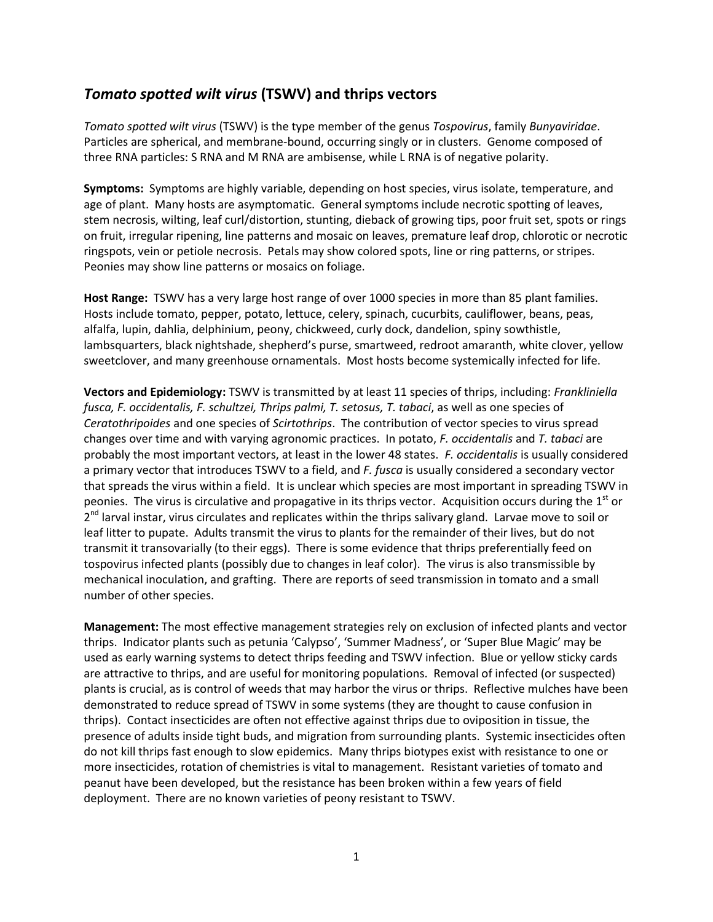## *Tomato spotted wilt virus* **(TSWV) and thrips vectors**

*Tomato spotted wilt virus* (TSWV) is the type member of the genus *Tospovirus*, family *Bunyaviridae*. Particles are spherical, and membrane-bound, occurring singly or in clusters. Genome composed of three RNA particles: S RNA and M RNA are ambisense, while L RNA is of negative polarity.

**Symptoms:** Symptoms are highly variable, depending on host species, virus isolate, temperature, and age of plant. Many hosts are asymptomatic. General symptoms include necrotic spotting of leaves, stem necrosis, wilting, leaf curl/distortion, stunting, dieback of growing tips, poor fruit set, spots or rings on fruit, irregular ripening, line patterns and mosaic on leaves, premature leaf drop, chlorotic or necrotic ringspots, vein or petiole necrosis. Petals may show colored spots, line or ring patterns, or stripes. Peonies may show line patterns or mosaics on foliage.

**Host Range:** TSWV has a very large host range of over 1000 species in more than 85 plant families. Hosts include tomato, pepper, potato, lettuce, celery, spinach, cucurbits, cauliflower, beans, peas, alfalfa, lupin, dahlia, delphinium, peony, chickweed, curly dock, dandelion, spiny sowthistle, lambsquarters, black nightshade, shepherd's purse, smartweed, redroot amaranth, white clover, yellow sweetclover, and many greenhouse ornamentals. Most hosts become systemically infected for life.

**Vectors and Epidemiology:** TSWV is transmitted by at least 11 species of thrips, including: *Frankliniella fusca, F. occidentalis, F. schultzei, Thrips palmi, T. setosus, T. tabaci*, as well as one species of *Ceratothripoides* and one species of *Scirtothrips*. The contribution of vector species to virus spread changes over time and with varying agronomic practices. In potato, *F. occidentalis* and *T. tabaci* are probably the most important vectors, at least in the lower 48 states. *F. occidentalis* is usually considered a primary vector that introduces TSWV to a field, and *F. fusca* is usually considered a secondary vector that spreads the virus within a field. It is unclear which species are most important in spreading TSWV in peonies. The virus is circulative and propagative in its thrips vector. Acquisition occurs during the  $1<sup>st</sup>$  or 2<sup>nd</sup> larval instar, virus circulates and replicates within the thrips salivary gland. Larvae move to soil or leaf litter to pupate. Adults transmit the virus to plants for the remainder of their lives, but do not transmit it transovarially (to their eggs). There is some evidence that thrips preferentially feed on tospovirus infected plants (possibly due to changes in leaf color). The virus is also transmissible by mechanical inoculation, and grafting. There are reports of seed transmission in tomato and a small number of other species.

**Management:** The most effective management strategies rely on exclusion of infected plants and vector thrips. Indicator plants such as petunia 'Calypso', 'Summer Madness', or 'Super Blue Magic' may be used as early warning systems to detect thrips feeding and TSWV infection. Blue or yellow sticky cards are attractive to thrips, and are useful for monitoring populations. Removal of infected (or suspected) plants is crucial, as is control of weeds that may harbor the virus or thrips. Reflective mulches have been demonstrated to reduce spread of TSWV in some systems (they are thought to cause confusion in thrips). Contact insecticides are often not effective against thrips due to oviposition in tissue, the presence of adults inside tight buds, and migration from surrounding plants. Systemic insecticides often do not kill thrips fast enough to slow epidemics. Many thrips biotypes exist with resistance to one or more insecticides, rotation of chemistries is vital to management. Resistant varieties of tomato and peanut have been developed, but the resistance has been broken within a few years of field deployment. There are no known varieties of peony resistant to TSWV.